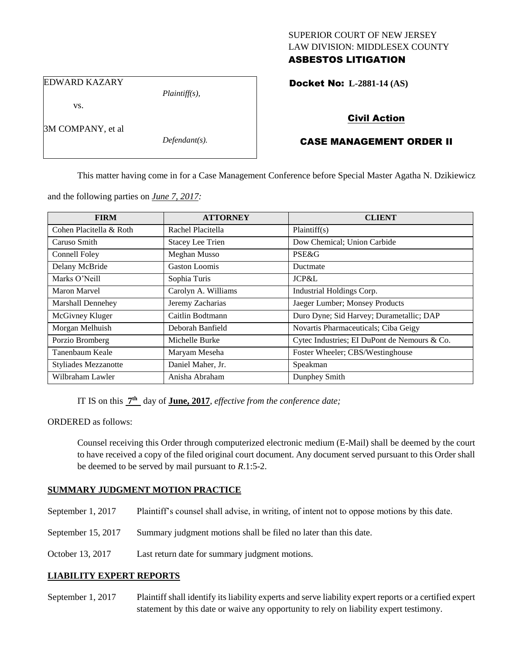## SUPERIOR COURT OF NEW JERSEY LAW DIVISION: MIDDLESEX COUNTY ASBESTOS LITIGATION

EDWARD KAZARY

vs.

3M COMPANY, et al

*Defendant(s).*

*Plaintiff(s),*

Docket No: **L-2881-14 (AS)** 

# Civil Action

# CASE MANAGEMENT ORDER II

This matter having come in for a Case Management Conference before Special Master Agatha N. Dzikiewicz

and the following parties on *June 7, 2017:*

| <b>FIRM</b>                 | <b>ATTORNEY</b>         | <b>CLIENT</b>                                |
|-----------------------------|-------------------------|----------------------------------------------|
| Cohen Placitella & Roth     | Rachel Placitella       | Plaintiff(s)                                 |
| Caruso Smith                | <b>Stacey Lee Trien</b> | Dow Chemical; Union Carbide                  |
| Connell Foley               | Meghan Musso            | PSE&G                                        |
| Delany McBride              | Gaston Loomis           | Ductmate                                     |
| Marks O'Neill               | Sophia Turis            | JCP&L                                        |
| Maron Marvel                | Carolyn A. Williams     | Industrial Holdings Corp.                    |
| Marshall Dennehey           | Jeremy Zacharias        | Jaeger Lumber; Monsey Products               |
| McGivney Kluger             | Caitlin Bodtmann        | Duro Dyne; Sid Harvey; Durametallic; DAP     |
| Morgan Melhuish             | Deborah Banfield        | Novartis Pharmaceuticals; Ciba Geigy         |
| Porzio Bromberg             | Michelle Burke          | Cytec Industries; EI DuPont de Nemours & Co. |
| Tanenbaum Keale             | Maryam Meseha           | Foster Wheeler; CBS/Westinghouse             |
| <b>Styliades Mezzanotte</b> | Daniel Maher, Jr.       | Speakman                                     |
| Wilbraham Lawler            | Anisha Abraham          | Dunphey Smith                                |

IT IS on this  $7<sup>th</sup>$  day of **June, 2017**, *effective from the conference date*;

## ORDERED as follows:

Counsel receiving this Order through computerized electronic medium (E-Mail) shall be deemed by the court to have received a copy of the filed original court document. Any document served pursuant to this Order shall be deemed to be served by mail pursuant to *R*.1:5-2.

## **SUMMARY JUDGMENT MOTION PRACTICE**

- September 1, 2017 Plaintiff's counsel shall advise, in writing, of intent not to oppose motions by this date.
- September 15, 2017 Summary judgment motions shall be filed no later than this date.
- October 13, 2017 Last return date for summary judgment motions.

## **LIABILITY EXPERT REPORTS**

September 1, 2017 Plaintiff shall identify its liability experts and serve liability expert reports or a certified expert statement by this date or waive any opportunity to rely on liability expert testimony.